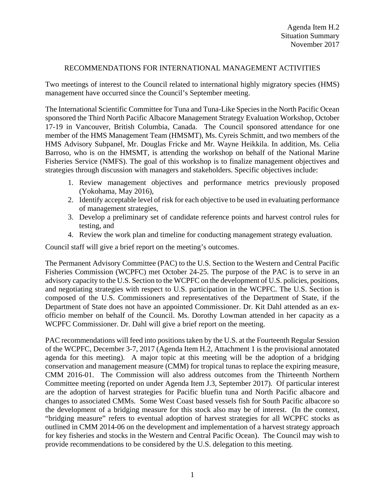### RECOMMENDATIONS FOR INTERNATIONAL MANAGEMENT ACTIVITIES

Two meetings of interest to the Council related to international highly migratory species (HMS) management have occurred since the Council's September meeting.

The International Scientific Committee for Tuna and Tuna-Like Species in the North Pacific Ocean sponsored the Third North Pacific Albacore Management Strategy Evaluation Workshop, October 17-19 in Vancouver, British Columbia, Canada. The Council sponsored attendance for one member of the HMS Management Team (HMSMT), Ms. Cyreis Schmitt, and two members of the HMS Advisory Subpanel, Mr. Douglas Fricke and Mr. Wayne Heikkila. In addition, Ms. Celia Barroso, who is on the HMSMT, is attending the workshop on behalf of the National Marine Fisheries Service (NMFS). The goal of this workshop is to finalize management objectives and strategies through discussion with managers and stakeholders. Specific objectives include:

- 1. Review management objectives and performance metrics previously proposed (Yokohama, May 2016),
- 2. Identify acceptable level of risk for each objective to be used in evaluating performance of management strategies,
- 3. Develop a preliminary set of candidate reference points and harvest control rules for testing, and
- 4. Review the work plan and timeline for conducting management strategy evaluation.

Council staff will give a brief report on the meeting's outcomes.

The Permanent Advisory Committee (PAC) to the U.S. Section to the Western and Central Pacific Fisheries Commission (WCPFC) met October 24-25. The purpose of the PAC is to serve in an advisory capacity to the U.S. Section to the WCPFC on the development of U.S. policies, positions, and negotiating strategies with respect to U.S. participation in the WCPFC. The U.S. Section is composed of the U.S. Commissioners and representatives of the Department of State, if the Department of State does not have an appointed Commissioner. Dr. Kit Dahl attended as an exofficio member on behalf of the Council. Ms. Dorothy Lowman attended in her capacity as a WCPFC Commissioner. Dr. Dahl will give a brief report on the meeting.

PAC recommendations will feed into positions taken by the U.S. at the Fourteenth Regular Session of the WCPFC, December 3-7, 2017 (Agenda Item H.2, Attachment 1 is the provisional annotated agenda for this meeting). A major topic at this meeting will be the adoption of a bridging conservation and management measure (CMM) for tropical tunas to replace the expiring measure, CMM 2016-01. The Commission will also address outcomes from the Thirteenth Northern Committee meeting (reported on under Agenda Item J.3, September 2017). Of particular interest are the adoption of harvest strategies for Pacific bluefin tuna and North Pacific albacore and changes to associated CMMs. Some West Coast based vessels fish for South Pacific albacore so the development of a bridging measure for this stock also may be of interest. (In the context, "bridging measure" refers to eventual adoption of harvest strategies for all WCPFC stocks as outlined in CMM 2014-06 on the development and implementation of a harvest strategy approach for key fisheries and stocks in the Western and Central Pacific Ocean). The Council may wish to provide recommendations to be considered by the U.S. delegation to this meeting.